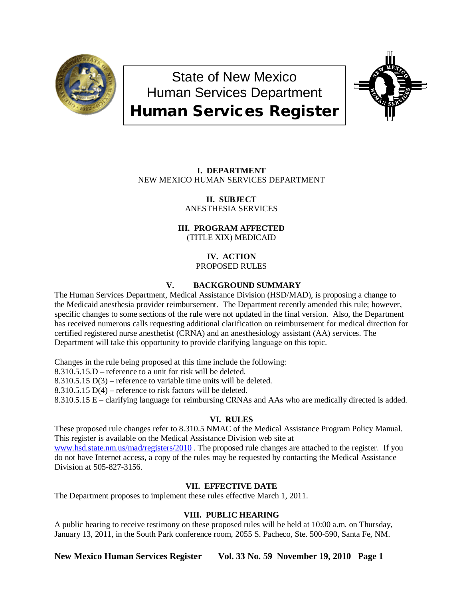

# State of New Mexico Human Services Department Human Services Register



## **I. DEPARTMENT** NEW MEXICO HUMAN SERVICES DEPARTMENT

#### **II. SUBJECT** ANESTHESIA SERVICES

**III. PROGRAM AFFECTED**

(TITLE XIX) MEDICAID

**IV. ACTION** PROPOSED RULES

## **V. BACKGROUND SUMMARY**

The Human Services Department, Medical Assistance Division (HSD/MAD), is proposing a change to the Medicaid anesthesia provider reimbursement. The Department recently amended this rule; however, specific changes to some sections of the rule were not updated in the final version. Also, the Department has received numerous calls requesting additional clarification on reimbursement for medical direction for certified registered nurse anesthetist (CRNA) and an anesthesiology assistant (AA) services. The Department will take this opportunity to provide clarifying language on this topic.

Changes in the rule being proposed at this time include the following:

8.310.5.15.D – reference to a unit for risk will be deleted.

8.310.5.15 D(3) – reference to variable time units will be deleted.

8.310.5.15 D(4) – reference to risk factors will be deleted.

8.310.5.15 E – clarifying language for reimbursing CRNAs and AAs who are medically directed is added.

## **VI. RULES**

These proposed rule changes refer to 8.310.5 NMAC of the Medical Assistance Program Policy Manual. This register is available on the Medical Assistance Division web site at [www.hsd.state.nm.us/mad/registers/2010](http://www.hsd.state.nm.us/mad/registers/2010). The proposed rule changes are attached to the register. If you do not have Internet access, a copy of the rules may be requested by contacting the Medical Assistance Division at 505-827-3156.

## **VII. EFFECTIVE DATE**

The Department proposes to implement these rules effective March 1, 2011.

## **VIII. PUBLIC HEARING**

A public hearing to receive testimony on these proposed rules will be held at 10:00 a.m. on Thursday, January 13, 2011, in the South Park conference room, 2055 S. Pacheco, Ste. 500-590, Santa Fe, NM.

**New Mexico Human Services Register Vol. 33 No. 59 November 19, 2010 Page 1**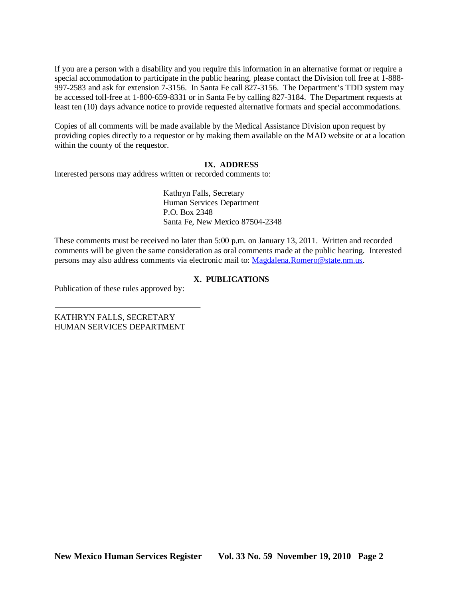If you are a person with a disability and you require this information in an alternative format or require a special accommodation to participate in the public hearing, please contact the Division toll free at 1-888- 997-2583 and ask for extension 7-3156. In Santa Fe call 827-3156. The Department's TDD system may be accessed toll-free at 1-800-659-8331 or in Santa Fe by calling 827-3184. The Department requests at least ten (10) days advance notice to provide requested alternative formats and special accommodations.

Copies of all comments will be made available by the Medical Assistance Division upon request by providing copies directly to a requestor or by making them available on the MAD website or at a location within the county of the requestor.

### **IX. ADDRESS**

Interested persons may address written or recorded comments to:

Kathryn Falls, Secretary Human Services Department P.O. Box 2348 Santa Fe, New Mexico 87504-2348

These comments must be received no later than 5:00 p.m. on January 13, 2011. Written and recorded comments will be given the same consideration as oral comments made at the public hearing. Interested persons may also address comments via electronic mail to: [Magdalena.Romero@state.nm.us.](mailto:Magdalena.Romero@state.nm.us)

### **X. PUBLICATIONS**

Publication of these rules approved by:

KATHRYN FALLS, SECRETARY HUMAN SERVICES DEPARTMENT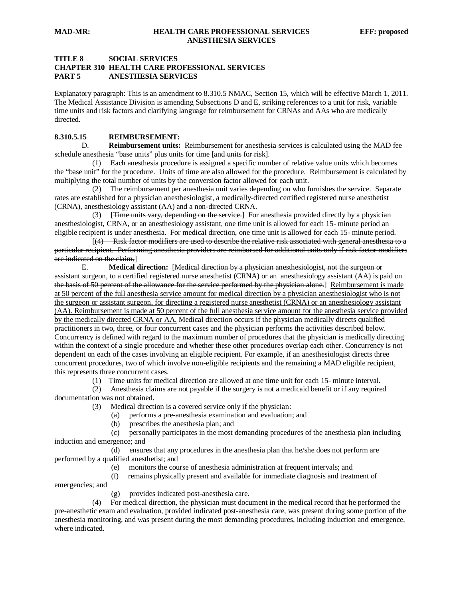#### **TITLE 8 SOCIAL SERVICES CHAPTER 310 HEALTH CARE PROFESSIONAL SERVICES PART 5 ANESTHESIA SERVICES**

Explanatory paragraph: This is an amendment to 8.310.5 NMAC, Section 15, which will be effective March 1, 2011. The Medical Assistance Division is amending Subsections D and E, striking references to a unit for risk, variable time units and risk factors and clarifying language for reimbursement for CRNAs and AAs who are medically directed.

#### **8.310.5.15 REIMBURSEMENT:**

D. **Reimbursement units:** Reimbursement for anesthesia services is calculated using the MAD fee schedule anesthesia "base units" plus units for time [and units for risk].

 (1) Each anesthesia procedure is assigned a specific number of relative value units which becomes the "base unit" for the procedure. Units of time are also allowed for the procedure. Reimbursement is calculated by multiplying the total number of units by the conversion factor allowed for each unit.

 (2) The reimbursement per anesthesia unit varies depending on who furnishes the service. Separate rates are established for a physician anesthesiologist, a medically-directed certified registered nurse anesthetist (CRNA), anesthesiology assistant (AA) and a non-directed CRNA.

(3) **Time units vary, depending on the service**. For anesthesia provided directly by a physician anesthesiologist, CRNA, or an anesthesiology assistant, one time unit is allowed for each 15- minute period an eligible recipient is under anesthesia. For medical direction, one time unit is allowed for each 15- minute period.

 $\begin{bmatrix} 1 & 1 \\ 1 & 1 \end{bmatrix}$ (4) Risk factor modifiers are used to describe the relative risk associated with general anesthesia to a particular recipient. Performing anesthesia providers are reimbursed for additional units only if risk factor modifiers are indicated on the claim. ]

E. Medical direction: [Medical direction by a physician anesthesiologist, not the surgeon or assistant surgeon, to a certified registered nurse anesthetist (CRNA) or an anesthesiology assistant (AA) is paid on the basis of 50 percent of the allowance for the service performed by the physician alone. Reimbursement is made at 50 percent of the full anesthesia service amount for medical direction by a physician anesthesiologist who is not the surgeon or assistant surgeon, for directing a registered nurse anesthetist (CRNA) or an anesthesiology assistant (AA). Reimbursement is made at 50 percent of the full anesthesia service amount for the anesthesia service provided by the medically directed CRNA or AA. Medical direction occurs if the physician medically directs qualified practitioners in two, three, or four concurrent cases and the physician performs the activities described below. Concurrency is defined with regard to the maximum number of procedures that the physician is medically directing within the context of a single procedure and whether these other procedures overlap each other. Concurrency is not dependent on each of the cases involving an eligible recipient. For example, if an anesthesiologist directs three concurrent procedures, two of which involve non-eligible recipients and the remaining a MAD eligible recipient, this represents three concurrent cases.

(1) Time units for medical direction are allowed at one time unit for each 15- minute interval.

 (2) Anesthesia claims are not payable if the surgery is not a medicaid benefit or if any required documentation was not obtained.

(3) Medical direction is a covered service only if the physician:

- (a) performs a pre-anesthesia examination and evaluation; and
- prescribes the anesthesia plan; and

 (c) personally participates in the most demanding procedures of the anesthesia plan including induction and emergence; and

 (d) ensures that any procedures in the anesthesia plan that he/she does not perform are performed by a qualified anesthetist; and

- (e) monitors the course of anesthesia administration at frequent intervals; and
- (f) remains physically present and available for immediate diagnosis and treatment of

emergencies; and

(g) provides indicated post-anesthesia care.

 (4) For medical direction, the physician must document in the medical record that he performed the pre-anesthetic exam and evaluation, provided indicated post-anesthesia care, was present during some portion of the anesthesia monitoring, and was present during the most demanding procedures, including induction and emergence, where indicated.